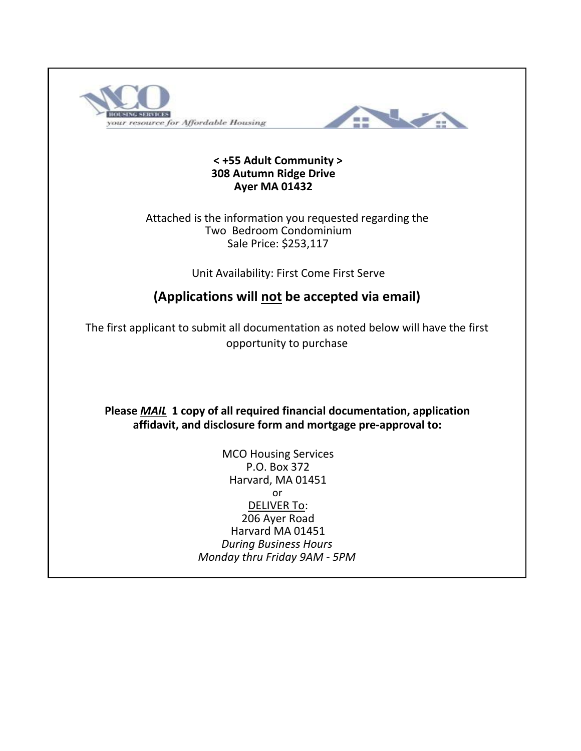



#### **< +55 Adult Community > 308 Autumn Ridge Drive Ayer MA 01432**

Two Bedroom Condominium Sale Price: \$253,117 Attached is the information you requested regarding the

Unit Availability: First Come First Serve

# **(Applications will not be accepted via email)**

The first applicant to submit all documentation as noted below will have the first opportunity to purchase

**affidavit, and disclosure form and mortgage pre-approval to: Please** *MAIL* **1 copy of all required financial documentation, application** 

> or *Monday thru Friday 9AM - 5PM* DELIVER To: 206 Ayer Road MCO Housing Services P.O. Box 372 Harvard, MA 01451 Harvard MA 01451 *During Business Hours*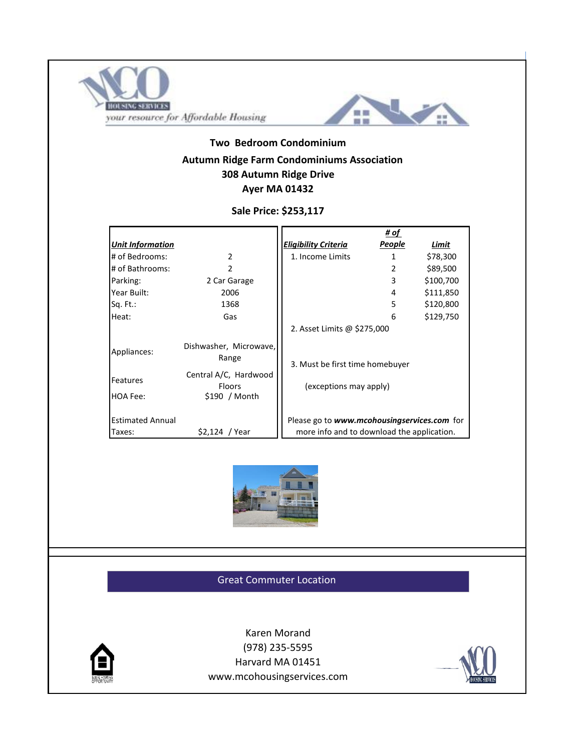



## **Autumn Ridge Farm Condominiums Association Two Bedroom Condominium 308 Autumn Ridge Drive Ayer MA 01432**

### **Sale Price: \$253,117**

|                                   |                                                         |                                                                                           | # of   |           |  |
|-----------------------------------|---------------------------------------------------------|-------------------------------------------------------------------------------------------|--------|-----------|--|
| <b>Unit Information</b>           |                                                         | <b>Eligibility Criteria</b>                                                               | People | Limit     |  |
| # of Bedrooms:                    | $\mathfrak{p}$                                          | 1. Income Limits                                                                          | 1      | \$78,300  |  |
| # of Bathrooms:                   | $\mathcal{P}$                                           |                                                                                           | 2      | \$89,500  |  |
| Parking:                          | 2 Car Garage                                            |                                                                                           | 3      | \$100,700 |  |
| Year Built:                       | 2006                                                    |                                                                                           | 4      | \$111,850 |  |
| Sq. Ft.:                          | 1368                                                    |                                                                                           | 5      | \$120,800 |  |
| Heat:                             | Gas                                                     |                                                                                           | 6      | \$129,750 |  |
|                                   |                                                         | 2. Asset Limits @ \$275,000                                                               |        |           |  |
| Appliances:                       | Dishwasher, Microwave,<br>Range                         | 3. Must be first time homebuyer                                                           |        |           |  |
| Features<br>HOA Fee:              | Central A/C, Hardwood<br><b>Floors</b><br>\$190 / Month | (exceptions may apply)                                                                    |        |           |  |
| <b>Estimated Annual</b><br>Taxes: | $$2,124$ / Year                                         | Please go to www.mcohousingservices.com for<br>more info and to download the application. |        |           |  |



#### Great Commuter Location



www.mcohousingservices.com Harvard MA 01451 Karen Morand (978) 235-5595

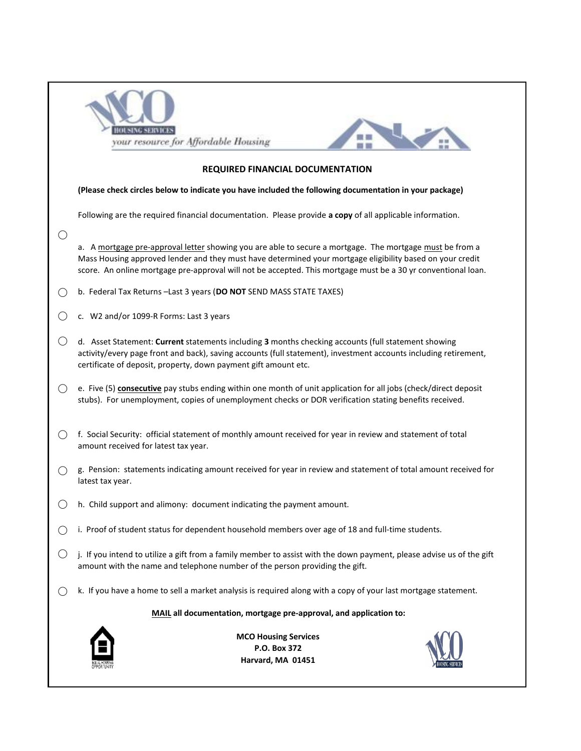|                                                                                                                                                                                                                                                                                                                                        | your resource for Affordable Housing                                                                                                                                                                                                                                                       |  |  |  |  |  |  |  |  |  |
|----------------------------------------------------------------------------------------------------------------------------------------------------------------------------------------------------------------------------------------------------------------------------------------------------------------------------------------|--------------------------------------------------------------------------------------------------------------------------------------------------------------------------------------------------------------------------------------------------------------------------------------------|--|--|--|--|--|--|--|--|--|
|                                                                                                                                                                                                                                                                                                                                        | <b>REQUIRED FINANCIAL DOCUMENTATION</b>                                                                                                                                                                                                                                                    |  |  |  |  |  |  |  |  |  |
|                                                                                                                                                                                                                                                                                                                                        | (Please check circles below to indicate you have included the following documentation in your package)                                                                                                                                                                                     |  |  |  |  |  |  |  |  |  |
|                                                                                                                                                                                                                                                                                                                                        | Following are the required financial documentation. Please provide a copy of all applicable information.                                                                                                                                                                                   |  |  |  |  |  |  |  |  |  |
| $\bigcirc$                                                                                                                                                                                                                                                                                                                             |                                                                                                                                                                                                                                                                                            |  |  |  |  |  |  |  |  |  |
| a. A mortgage pre-approval letter showing you are able to secure a mortgage. The mortgage must be from a<br>Mass Housing approved lender and they must have determined your mortgage eligibility based on your credit<br>score. An online mortgage pre-approval will not be accepted. This mortgage must be a 30 yr conventional loan. |                                                                                                                                                                                                                                                                                            |  |  |  |  |  |  |  |  |  |
|                                                                                                                                                                                                                                                                                                                                        | b. Federal Tax Returns - Last 3 years (DO NOT SEND MASS STATE TAXES)                                                                                                                                                                                                                       |  |  |  |  |  |  |  |  |  |
|                                                                                                                                                                                                                                                                                                                                        | c. W2 and/or 1099-R Forms: Last 3 years                                                                                                                                                                                                                                                    |  |  |  |  |  |  |  |  |  |
| $\left(\right)$                                                                                                                                                                                                                                                                                                                        | d. Asset Statement: Current statements including 3 months checking accounts (full statement showing<br>activity/every page front and back), saving accounts (full statement), investment accounts including retirement,<br>certificate of deposit, property, down payment gift amount etc. |  |  |  |  |  |  |  |  |  |
| $\bigcirc$                                                                                                                                                                                                                                                                                                                             | e. Five (5) consecutive pay stubs ending within one month of unit application for all jobs (check/direct deposit<br>stubs). For unemployment, copies of unemployment checks or DOR verification stating benefits received.                                                                 |  |  |  |  |  |  |  |  |  |
| ( )                                                                                                                                                                                                                                                                                                                                    | f. Social Security: official statement of monthly amount received for year in review and statement of total<br>amount received for latest tax year.                                                                                                                                        |  |  |  |  |  |  |  |  |  |
|                                                                                                                                                                                                                                                                                                                                        | g. Pension: statements indicating amount received for year in review and statement of total amount received for<br>latest tax year.                                                                                                                                                        |  |  |  |  |  |  |  |  |  |
|                                                                                                                                                                                                                                                                                                                                        | h. Child support and alimony: document indicating the payment amount.                                                                                                                                                                                                                      |  |  |  |  |  |  |  |  |  |
|                                                                                                                                                                                                                                                                                                                                        | i. Proof of student status for dependent household members over age of 18 and full-time students.                                                                                                                                                                                          |  |  |  |  |  |  |  |  |  |
| $\bigcirc$                                                                                                                                                                                                                                                                                                                             | j. If you intend to utilize a gift from a family member to assist with the down payment, please advise us of the gift<br>amount with the name and telephone number of the person providing the gift.                                                                                       |  |  |  |  |  |  |  |  |  |
| ( )                                                                                                                                                                                                                                                                                                                                    | k. If you have a home to sell a market analysis is required along with a copy of your last mortgage statement.                                                                                                                                                                             |  |  |  |  |  |  |  |  |  |
| MAIL all documentation, mortgage pre-approval, and application to:                                                                                                                                                                                                                                                                     |                                                                                                                                                                                                                                                                                            |  |  |  |  |  |  |  |  |  |
|                                                                                                                                                                                                                                                                                                                                        | <b>MCO Housing Services</b><br>P.O. Box 372<br>Harvard, MA 01451                                                                                                                                                                                                                           |  |  |  |  |  |  |  |  |  |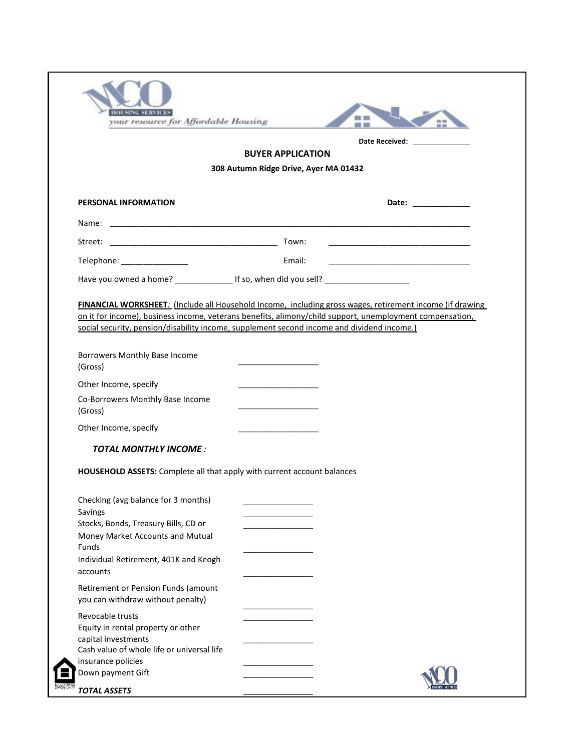|                                                   | <b>BUYER APPLICATION</b>                                                                                                                                                                                             |
|---------------------------------------------------|----------------------------------------------------------------------------------------------------------------------------------------------------------------------------------------------------------------------|
|                                                   |                                                                                                                                                                                                                      |
|                                                   | 308 Autumn Ridge Drive, Ayer MA 01432                                                                                                                                                                                |
| PERSONAL INFORMATION                              | Date: ______________                                                                                                                                                                                                 |
|                                                   |                                                                                                                                                                                                                      |
|                                                   |                                                                                                                                                                                                                      |
| Telephone: ________________                       | Email:                                                                                                                                                                                                               |
|                                                   | Have you owned a home? ______________________ If so, when did you sell? ____________________________                                                                                                                 |
|                                                   |                                                                                                                                                                                                                      |
|                                                   | FINANCIAL WORKSHEET: (Include all Household Income, including gross wages, retirement income (if drawing<br>on it for income), business income, veterans benefits, alimony/child support, unemployment compensation, |
|                                                   | social security, pension/disability income, supplement second income and dividend income.)                                                                                                                           |
| Borrowers Monthly Base Income                     |                                                                                                                                                                                                                      |
| (Gross)                                           |                                                                                                                                                                                                                      |
| Other Income, specify                             |                                                                                                                                                                                                                      |
| Co-Borrowers Monthly Base Income                  |                                                                                                                                                                                                                      |
| (Gross)                                           |                                                                                                                                                                                                                      |
| Other Income, specify                             |                                                                                                                                                                                                                      |
| <b>TOTAL MONTHLY INCOME:</b>                      |                                                                                                                                                                                                                      |
|                                                   | HOUSEHOLD ASSETS: Complete all that apply with current account balances                                                                                                                                              |
| Checking (avg balance for 3 months)               |                                                                                                                                                                                                                      |
| Savings                                           |                                                                                                                                                                                                                      |
| Stocks, Bonds, Treasury Bills, CD or              |                                                                                                                                                                                                                      |
| Money Market Accounts and Mutual                  |                                                                                                                                                                                                                      |
| Funds                                             |                                                                                                                                                                                                                      |
| Individual Retirement, 401K and Keogh<br>accounts |                                                                                                                                                                                                                      |
| Retirement or Pension Funds (amount               |                                                                                                                                                                                                                      |
| you can withdraw without penalty)                 |                                                                                                                                                                                                                      |
| Revocable trusts                                  |                                                                                                                                                                                                                      |
| Equity in rental property or other                |                                                                                                                                                                                                                      |
| capital investments                               |                                                                                                                                                                                                                      |
| Cash value of whole life or universal life        |                                                                                                                                                                                                                      |
| insurance policies                                |                                                                                                                                                                                                                      |
| Down payment Gift                                 |                                                                                                                                                                                                                      |
|                                                   |                                                                                                                                                                                                                      |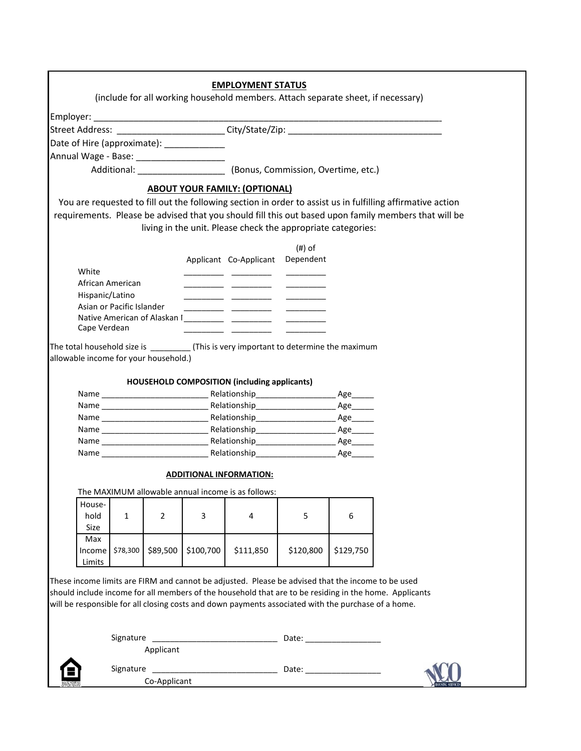| (include for all working household members. Attach separate sheet, if necessary)<br>Street Address: _______________________City/State/Zip: _________________________<br>Date of Hire (approximate): _____________<br>Additional: (Bonus, Commission, Overtime, etc.)<br><b>ABOUT YOUR FAMILY: (OPTIONAL)</b><br>You are requested to fill out the following section in order to assist us in fulfilling affirmative action<br>requirements. Please be advised that you should fill this out based upon family members that will be<br>living in the unit. Please check the appropriate categories:<br>$(#)$ of<br>Applicant Co-Applicant Dependent<br>White<br>African American<br><u> 1980 - Jan James James III, martin politik (</u><br>Hispanic/Latino<br>Asian or Pacific Islander<br>Cape Verdean<br>The total household size is ____________(This is very important to determine the maximum<br>allowable income for your household.)<br>HOUSEHOLD COMPOSITION (including applicants)<br>Age______<br><b>ADDITIONAL INFORMATION:</b><br>The MAXIMUM allowable annual income is as follows:<br><u> 1989 - Johann Barn, amerikan personal (h. 1989)</u><br>House-<br>$\overline{2}$<br>$\mathbf{1}$<br>3<br>5<br>6<br>hold<br>4<br>Size<br>Max<br>\$129,750<br>\$78,300<br>\$89,500<br>\$100,700<br>\$111,850<br>\$120,800<br>Income<br>Limits<br>These income limits are FIRM and cannot be adjusted. Please be advised that the income to be used<br>should include income for all members of the household that are to be residing in the home. Applicants<br>will be responsible for all closing costs and down payments associated with the purchase of a home.<br>Signature<br>Applicant<br>Signature<br><u> 1980 - Johann John Stein, mars ar breithinn ar breithinn an t-Alban Stein ann an 1980.</u><br>Co-Applicant |  |  | <b>EMPLOYMENT STATUS</b> |  |  |  |
|------------------------------------------------------------------------------------------------------------------------------------------------------------------------------------------------------------------------------------------------------------------------------------------------------------------------------------------------------------------------------------------------------------------------------------------------------------------------------------------------------------------------------------------------------------------------------------------------------------------------------------------------------------------------------------------------------------------------------------------------------------------------------------------------------------------------------------------------------------------------------------------------------------------------------------------------------------------------------------------------------------------------------------------------------------------------------------------------------------------------------------------------------------------------------------------------------------------------------------------------------------------------------------------------------------------------------------------------------------------------------------------------------------------------------------------------------------------------------------------------------------------------------------------------------------------------------------------------------------------------------------------------------------------------------------------------------------------------------------------------------------------------------------------------------------------------------------|--|--|--------------------------|--|--|--|
|                                                                                                                                                                                                                                                                                                                                                                                                                                                                                                                                                                                                                                                                                                                                                                                                                                                                                                                                                                                                                                                                                                                                                                                                                                                                                                                                                                                                                                                                                                                                                                                                                                                                                                                                                                                                                                    |  |  |                          |  |  |  |
|                                                                                                                                                                                                                                                                                                                                                                                                                                                                                                                                                                                                                                                                                                                                                                                                                                                                                                                                                                                                                                                                                                                                                                                                                                                                                                                                                                                                                                                                                                                                                                                                                                                                                                                                                                                                                                    |  |  |                          |  |  |  |
|                                                                                                                                                                                                                                                                                                                                                                                                                                                                                                                                                                                                                                                                                                                                                                                                                                                                                                                                                                                                                                                                                                                                                                                                                                                                                                                                                                                                                                                                                                                                                                                                                                                                                                                                                                                                                                    |  |  |                          |  |  |  |
|                                                                                                                                                                                                                                                                                                                                                                                                                                                                                                                                                                                                                                                                                                                                                                                                                                                                                                                                                                                                                                                                                                                                                                                                                                                                                                                                                                                                                                                                                                                                                                                                                                                                                                                                                                                                                                    |  |  |                          |  |  |  |
|                                                                                                                                                                                                                                                                                                                                                                                                                                                                                                                                                                                                                                                                                                                                                                                                                                                                                                                                                                                                                                                                                                                                                                                                                                                                                                                                                                                                                                                                                                                                                                                                                                                                                                                                                                                                                                    |  |  |                          |  |  |  |
|                                                                                                                                                                                                                                                                                                                                                                                                                                                                                                                                                                                                                                                                                                                                                                                                                                                                                                                                                                                                                                                                                                                                                                                                                                                                                                                                                                                                                                                                                                                                                                                                                                                                                                                                                                                                                                    |  |  |                          |  |  |  |
|                                                                                                                                                                                                                                                                                                                                                                                                                                                                                                                                                                                                                                                                                                                                                                                                                                                                                                                                                                                                                                                                                                                                                                                                                                                                                                                                                                                                                                                                                                                                                                                                                                                                                                                                                                                                                                    |  |  |                          |  |  |  |
|                                                                                                                                                                                                                                                                                                                                                                                                                                                                                                                                                                                                                                                                                                                                                                                                                                                                                                                                                                                                                                                                                                                                                                                                                                                                                                                                                                                                                                                                                                                                                                                                                                                                                                                                                                                                                                    |  |  |                          |  |  |  |
|                                                                                                                                                                                                                                                                                                                                                                                                                                                                                                                                                                                                                                                                                                                                                                                                                                                                                                                                                                                                                                                                                                                                                                                                                                                                                                                                                                                                                                                                                                                                                                                                                                                                                                                                                                                                                                    |  |  |                          |  |  |  |
|                                                                                                                                                                                                                                                                                                                                                                                                                                                                                                                                                                                                                                                                                                                                                                                                                                                                                                                                                                                                                                                                                                                                                                                                                                                                                                                                                                                                                                                                                                                                                                                                                                                                                                                                                                                                                                    |  |  |                          |  |  |  |
|                                                                                                                                                                                                                                                                                                                                                                                                                                                                                                                                                                                                                                                                                                                                                                                                                                                                                                                                                                                                                                                                                                                                                                                                                                                                                                                                                                                                                                                                                                                                                                                                                                                                                                                                                                                                                                    |  |  |                          |  |  |  |
|                                                                                                                                                                                                                                                                                                                                                                                                                                                                                                                                                                                                                                                                                                                                                                                                                                                                                                                                                                                                                                                                                                                                                                                                                                                                                                                                                                                                                                                                                                                                                                                                                                                                                                                                                                                                                                    |  |  |                          |  |  |  |
|                                                                                                                                                                                                                                                                                                                                                                                                                                                                                                                                                                                                                                                                                                                                                                                                                                                                                                                                                                                                                                                                                                                                                                                                                                                                                                                                                                                                                                                                                                                                                                                                                                                                                                                                                                                                                                    |  |  |                          |  |  |  |
|                                                                                                                                                                                                                                                                                                                                                                                                                                                                                                                                                                                                                                                                                                                                                                                                                                                                                                                                                                                                                                                                                                                                                                                                                                                                                                                                                                                                                                                                                                                                                                                                                                                                                                                                                                                                                                    |  |  |                          |  |  |  |
|                                                                                                                                                                                                                                                                                                                                                                                                                                                                                                                                                                                                                                                                                                                                                                                                                                                                                                                                                                                                                                                                                                                                                                                                                                                                                                                                                                                                                                                                                                                                                                                                                                                                                                                                                                                                                                    |  |  |                          |  |  |  |
|                                                                                                                                                                                                                                                                                                                                                                                                                                                                                                                                                                                                                                                                                                                                                                                                                                                                                                                                                                                                                                                                                                                                                                                                                                                                                                                                                                                                                                                                                                                                                                                                                                                                                                                                                                                                                                    |  |  |                          |  |  |  |
|                                                                                                                                                                                                                                                                                                                                                                                                                                                                                                                                                                                                                                                                                                                                                                                                                                                                                                                                                                                                                                                                                                                                                                                                                                                                                                                                                                                                                                                                                                                                                                                                                                                                                                                                                                                                                                    |  |  |                          |  |  |  |
|                                                                                                                                                                                                                                                                                                                                                                                                                                                                                                                                                                                                                                                                                                                                                                                                                                                                                                                                                                                                                                                                                                                                                                                                                                                                                                                                                                                                                                                                                                                                                                                                                                                                                                                                                                                                                                    |  |  |                          |  |  |  |
|                                                                                                                                                                                                                                                                                                                                                                                                                                                                                                                                                                                                                                                                                                                                                                                                                                                                                                                                                                                                                                                                                                                                                                                                                                                                                                                                                                                                                                                                                                                                                                                                                                                                                                                                                                                                                                    |  |  |                          |  |  |  |
|                                                                                                                                                                                                                                                                                                                                                                                                                                                                                                                                                                                                                                                                                                                                                                                                                                                                                                                                                                                                                                                                                                                                                                                                                                                                                                                                                                                                                                                                                                                                                                                                                                                                                                                                                                                                                                    |  |  |                          |  |  |  |
|                                                                                                                                                                                                                                                                                                                                                                                                                                                                                                                                                                                                                                                                                                                                                                                                                                                                                                                                                                                                                                                                                                                                                                                                                                                                                                                                                                                                                                                                                                                                                                                                                                                                                                                                                                                                                                    |  |  |                          |  |  |  |
|                                                                                                                                                                                                                                                                                                                                                                                                                                                                                                                                                                                                                                                                                                                                                                                                                                                                                                                                                                                                                                                                                                                                                                                                                                                                                                                                                                                                                                                                                                                                                                                                                                                                                                                                                                                                                                    |  |  |                          |  |  |  |
|                                                                                                                                                                                                                                                                                                                                                                                                                                                                                                                                                                                                                                                                                                                                                                                                                                                                                                                                                                                                                                                                                                                                                                                                                                                                                                                                                                                                                                                                                                                                                                                                                                                                                                                                                                                                                                    |  |  |                          |  |  |  |
|                                                                                                                                                                                                                                                                                                                                                                                                                                                                                                                                                                                                                                                                                                                                                                                                                                                                                                                                                                                                                                                                                                                                                                                                                                                                                                                                                                                                                                                                                                                                                                                                                                                                                                                                                                                                                                    |  |  |                          |  |  |  |
|                                                                                                                                                                                                                                                                                                                                                                                                                                                                                                                                                                                                                                                                                                                                                                                                                                                                                                                                                                                                                                                                                                                                                                                                                                                                                                                                                                                                                                                                                                                                                                                                                                                                                                                                                                                                                                    |  |  |                          |  |  |  |
|                                                                                                                                                                                                                                                                                                                                                                                                                                                                                                                                                                                                                                                                                                                                                                                                                                                                                                                                                                                                                                                                                                                                                                                                                                                                                                                                                                                                                                                                                                                                                                                                                                                                                                                                                                                                                                    |  |  |                          |  |  |  |
|                                                                                                                                                                                                                                                                                                                                                                                                                                                                                                                                                                                                                                                                                                                                                                                                                                                                                                                                                                                                                                                                                                                                                                                                                                                                                                                                                                                                                                                                                                                                                                                                                                                                                                                                                                                                                                    |  |  |                          |  |  |  |
|                                                                                                                                                                                                                                                                                                                                                                                                                                                                                                                                                                                                                                                                                                                                                                                                                                                                                                                                                                                                                                                                                                                                                                                                                                                                                                                                                                                                                                                                                                                                                                                                                                                                                                                                                                                                                                    |  |  |                          |  |  |  |
|                                                                                                                                                                                                                                                                                                                                                                                                                                                                                                                                                                                                                                                                                                                                                                                                                                                                                                                                                                                                                                                                                                                                                                                                                                                                                                                                                                                                                                                                                                                                                                                                                                                                                                                                                                                                                                    |  |  |                          |  |  |  |
|                                                                                                                                                                                                                                                                                                                                                                                                                                                                                                                                                                                                                                                                                                                                                                                                                                                                                                                                                                                                                                                                                                                                                                                                                                                                                                                                                                                                                                                                                                                                                                                                                                                                                                                                                                                                                                    |  |  |                          |  |  |  |
|                                                                                                                                                                                                                                                                                                                                                                                                                                                                                                                                                                                                                                                                                                                                                                                                                                                                                                                                                                                                                                                                                                                                                                                                                                                                                                                                                                                                                                                                                                                                                                                                                                                                                                                                                                                                                                    |  |  |                          |  |  |  |
|                                                                                                                                                                                                                                                                                                                                                                                                                                                                                                                                                                                                                                                                                                                                                                                                                                                                                                                                                                                                                                                                                                                                                                                                                                                                                                                                                                                                                                                                                                                                                                                                                                                                                                                                                                                                                                    |  |  |                          |  |  |  |
|                                                                                                                                                                                                                                                                                                                                                                                                                                                                                                                                                                                                                                                                                                                                                                                                                                                                                                                                                                                                                                                                                                                                                                                                                                                                                                                                                                                                                                                                                                                                                                                                                                                                                                                                                                                                                                    |  |  |                          |  |  |  |
|                                                                                                                                                                                                                                                                                                                                                                                                                                                                                                                                                                                                                                                                                                                                                                                                                                                                                                                                                                                                                                                                                                                                                                                                                                                                                                                                                                                                                                                                                                                                                                                                                                                                                                                                                                                                                                    |  |  |                          |  |  |  |
|                                                                                                                                                                                                                                                                                                                                                                                                                                                                                                                                                                                                                                                                                                                                                                                                                                                                                                                                                                                                                                                                                                                                                                                                                                                                                                                                                                                                                                                                                                                                                                                                                                                                                                                                                                                                                                    |  |  |                          |  |  |  |
|                                                                                                                                                                                                                                                                                                                                                                                                                                                                                                                                                                                                                                                                                                                                                                                                                                                                                                                                                                                                                                                                                                                                                                                                                                                                                                                                                                                                                                                                                                                                                                                                                                                                                                                                                                                                                                    |  |  |                          |  |  |  |
|                                                                                                                                                                                                                                                                                                                                                                                                                                                                                                                                                                                                                                                                                                                                                                                                                                                                                                                                                                                                                                                                                                                                                                                                                                                                                                                                                                                                                                                                                                                                                                                                                                                                                                                                                                                                                                    |  |  |                          |  |  |  |
|                                                                                                                                                                                                                                                                                                                                                                                                                                                                                                                                                                                                                                                                                                                                                                                                                                                                                                                                                                                                                                                                                                                                                                                                                                                                                                                                                                                                                                                                                                                                                                                                                                                                                                                                                                                                                                    |  |  |                          |  |  |  |
|                                                                                                                                                                                                                                                                                                                                                                                                                                                                                                                                                                                                                                                                                                                                                                                                                                                                                                                                                                                                                                                                                                                                                                                                                                                                                                                                                                                                                                                                                                                                                                                                                                                                                                                                                                                                                                    |  |  |                          |  |  |  |
|                                                                                                                                                                                                                                                                                                                                                                                                                                                                                                                                                                                                                                                                                                                                                                                                                                                                                                                                                                                                                                                                                                                                                                                                                                                                                                                                                                                                                                                                                                                                                                                                                                                                                                                                                                                                                                    |  |  |                          |  |  |  |
|                                                                                                                                                                                                                                                                                                                                                                                                                                                                                                                                                                                                                                                                                                                                                                                                                                                                                                                                                                                                                                                                                                                                                                                                                                                                                                                                                                                                                                                                                                                                                                                                                                                                                                                                                                                                                                    |  |  |                          |  |  |  |
|                                                                                                                                                                                                                                                                                                                                                                                                                                                                                                                                                                                                                                                                                                                                                                                                                                                                                                                                                                                                                                                                                                                                                                                                                                                                                                                                                                                                                                                                                                                                                                                                                                                                                                                                                                                                                                    |  |  |                          |  |  |  |
|                                                                                                                                                                                                                                                                                                                                                                                                                                                                                                                                                                                                                                                                                                                                                                                                                                                                                                                                                                                                                                                                                                                                                                                                                                                                                                                                                                                                                                                                                                                                                                                                                                                                                                                                                                                                                                    |  |  |                          |  |  |  |
|                                                                                                                                                                                                                                                                                                                                                                                                                                                                                                                                                                                                                                                                                                                                                                                                                                                                                                                                                                                                                                                                                                                                                                                                                                                                                                                                                                                                                                                                                                                                                                                                                                                                                                                                                                                                                                    |  |  |                          |  |  |  |
|                                                                                                                                                                                                                                                                                                                                                                                                                                                                                                                                                                                                                                                                                                                                                                                                                                                                                                                                                                                                                                                                                                                                                                                                                                                                                                                                                                                                                                                                                                                                                                                                                                                                                                                                                                                                                                    |  |  |                          |  |  |  |